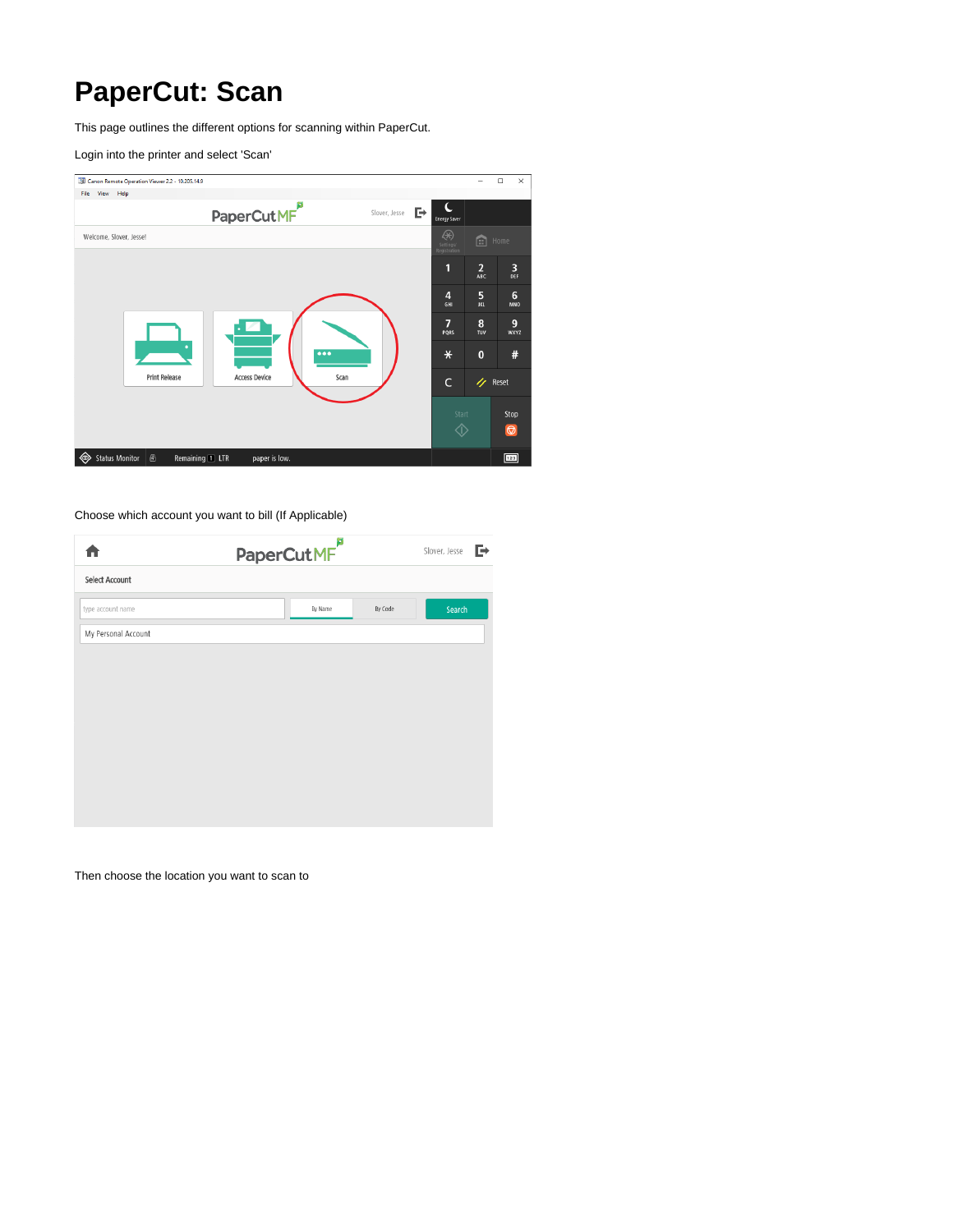# <span id="page-0-0"></span>**PaperCut: Scan**

This page outlines the different options for scanning within PaperCut.

Login into the printer and select 'Scan'



#### Choose which account you want to bill (If Applicable)

|                     | PaperCutMF |         | Slover, Jesse<br>⋻ |
|---------------------|------------|---------|--------------------|
| Select Account      |            |         |                    |
| type account name   | By Name    | By Code | Search             |
| My Personal Account |            |         |                    |
|                     |            |         |                    |
|                     |            |         |                    |
|                     |            |         |                    |
|                     |            |         |                    |
|                     |            |         |                    |
|                     |            |         |                    |
|                     |            |         |                    |
|                     |            |         |                    |

Then choose the location you want to scan to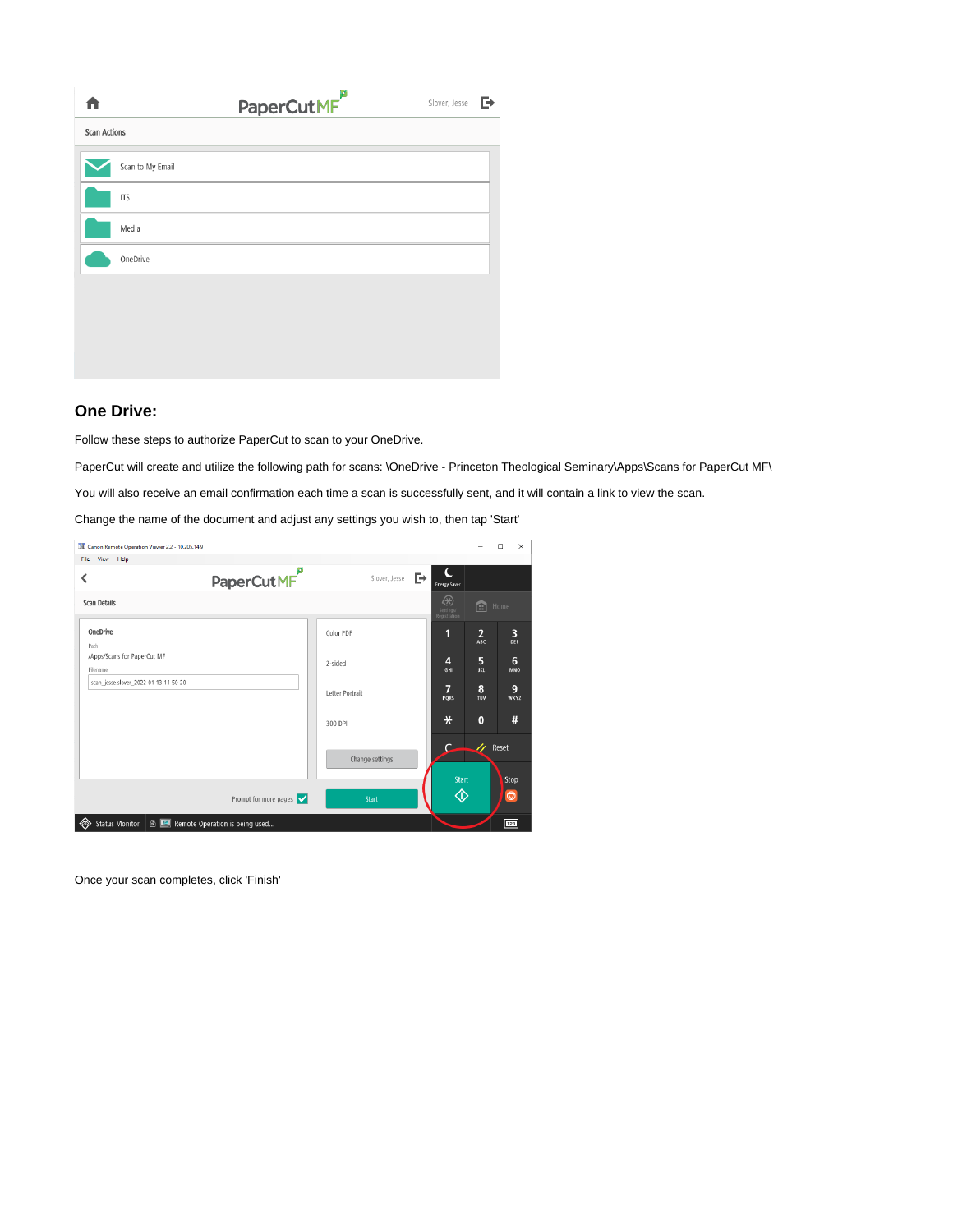|                     |                  | PaperCutMF <sup>P</sup> | ⊩<br>Slover, Jesse |
|---------------------|------------------|-------------------------|--------------------|
| <b>Scan Actions</b> |                  |                         |                    |
|                     | Scan to My Email |                         |                    |
|                     | <b>ITS</b>       |                         |                    |
|                     | Media            |                         |                    |
|                     | OneDrive         |                         |                    |
|                     |                  |                         |                    |
|                     |                  |                         |                    |
|                     |                  |                         |                    |

### **One Drive:**

Follow these steps to authorize PaperCut to scan to your OneDrive.

PaperCut will create and utilize the following path for scans: \OneDrive - Princeton Theological Seminary\Apps\Scans for PaperCut MF\

You will also receive an email confirmation each time a scan is successfully sent, and it will contain a link to view the scan.

Change the name of the document and adjust any settings you wish to, then tap 'Start'

| Canon Remote Operation Viewer 2.2 - 10.205.14.9 |                                                      |                 |                                |                              | $\Box$                 | $\times$        |
|-------------------------------------------------|------------------------------------------------------|-----------------|--------------------------------|------------------------------|------------------------|-----------------|
| View<br>Help<br>File                            |                                                      |                 |                                |                              |                        |                 |
| ≺                                               | PaperCutMF                                           | Slover, Jesse   | Ċ<br>Þ<br><b>Energy Saver</b>  |                              |                        |                 |
| <b>Scan Details</b>                             |                                                      |                 | ⊛<br>Settings/<br>Registration | 圇                            | Home                   |                 |
| OneDrive<br>Path                                |                                                      | Color PDF       | ſ.                             | $\overline{2}$<br><b>ABC</b> |                        | 3<br>DEF        |
| /Apps/Scans for PaperCut MF<br>Filename         |                                                      | 2-sided         | 4<br>GHI                       | 5<br><b>JKL</b>              |                        | 6<br><b>MNO</b> |
| scan jesse.slover 2022-01-13-11-50-20           |                                                      | Letter Portrait | 7<br>PORS                      | 8<br><b>TUV</b>              |                        | 9<br>WXYZ       |
|                                                 |                                                      | 300 DPI         | $\ast$                         | $\mathbf{0}$                 |                        | #               |
|                                                 |                                                      | Change settings | $\epsilon$                     | $\boldsymbol{\vartheta}$     | Reset                  |                 |
|                                                 | Prompt for more pages $\triangledown$                | <b>Start</b>    | <b>Start</b><br>◈              |                              | Stop<br>$\circledcirc$ |                 |
| <b>Status Monitor</b><br>◈                      | <sup>6</sup> <b>E</b> Remote Operation is being used |                 |                                |                              | 123                    |                 |

Once your scan completes, click 'Finish'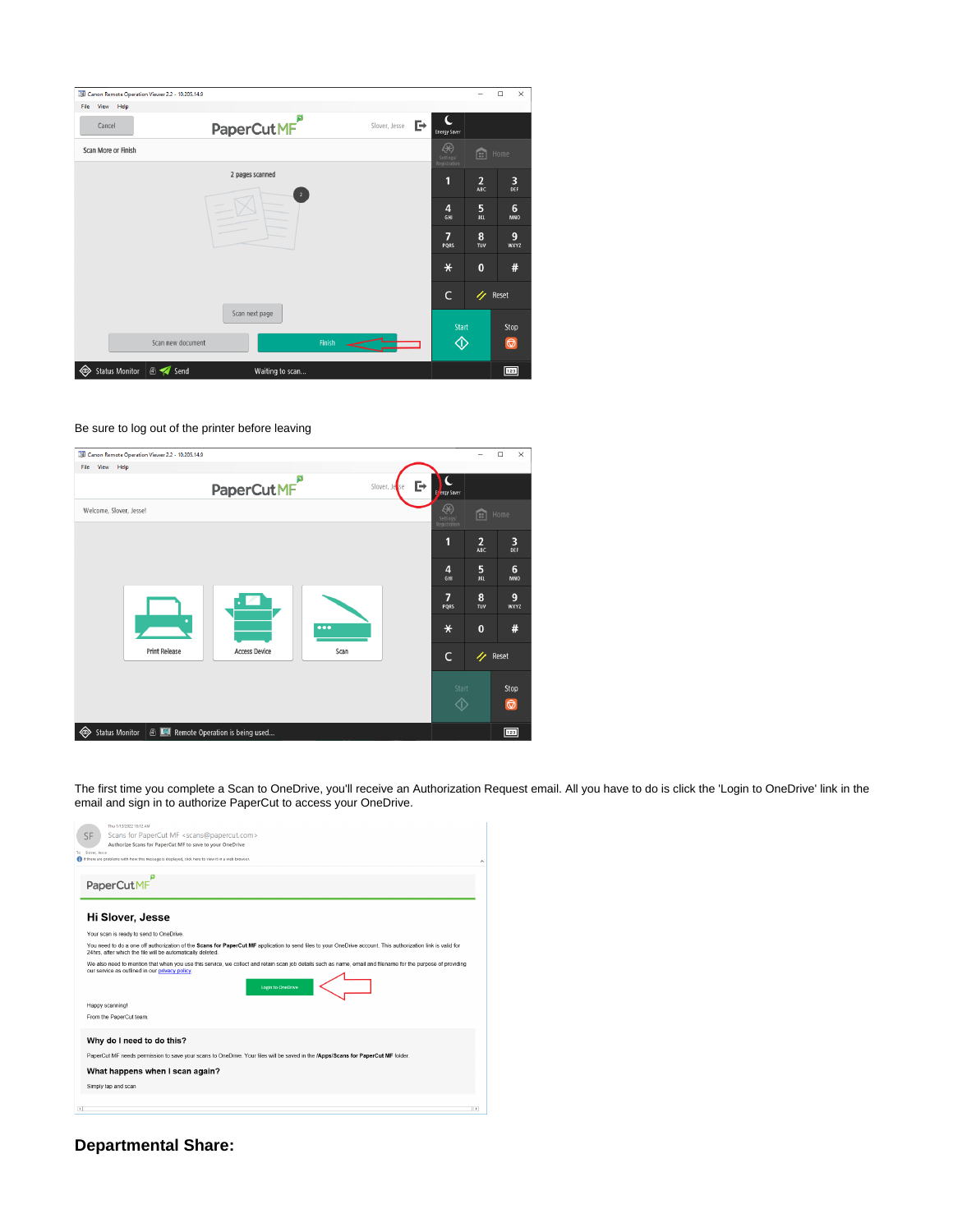| Canon Remote Operation Viewer 2.2 - 10.205.14.9 |                                   |               |                                |                              | $\Box$<br>$\times$ |
|-------------------------------------------------|-----------------------------------|---------------|--------------------------------|------------------------------|--------------------|
| View Help<br>File                               |                                   |               |                                |                              |                    |
| Cancel                                          | PaperCutMF                        | Slover, Jesse | D≁<br><b>Energy Saver</b>      |                              |                    |
| Scan More or Finish                             |                                   |               | ⊛<br>Settings/<br>Registration | 圇                            | Home               |
|                                                 | 2 pages scanned<br>$\overline{2}$ |               | 1                              | $\overline{2}$<br><b>ABC</b> | 3<br>DEF           |
|                                                 |                                   |               | 4<br>GHI                       | 5<br><b>JKL</b>              | 6<br><b>MNO</b>    |
|                                                 |                                   |               | 7<br>PORS                      | 8<br>TUV                     | 9<br>WXYZ          |
|                                                 |                                   |               | $\ast$                         | $\bf{0}$                     | #                  |
|                                                 |                                   |               | $\mathsf{C}$                   | n                            | Reset              |
|                                                 | Scan next page                    |               | <b>Start</b>                   |                              | Stop               |
| Scan new document                               |                                   | <b>Finish</b> | ♦                              |                              | $\circledcirc$     |
| <b>B Send</b><br><b>Status Monitor</b><br>◈     | Waiting to scan                   |               |                                |                              | 123                |

#### Be sure to log out of the printer before leaving

| Canon Remote Operation Viewer 2.2 - 10.205.14.9 |                                |                         |                                |                        | $\Box$<br>$\times$            |
|-------------------------------------------------|--------------------------------|-------------------------|--------------------------------|------------------------|-------------------------------|
| View Help<br>File                               |                                |                         |                                |                        |                               |
|                                                 | PaperCutMF                     |                         | Þ<br>Slover, Jesse<br>P        | ergy Saver             |                               |
| Welcome, Slover, Jesse!                         |                                |                         | ⊛<br>Settings/<br>Registration | 圇                      | Home                          |
|                                                 |                                |                         | П                              | $\overline{2}$<br>ABC  | 3<br>DEF                      |
|                                                 |                                |                         | $\overline{4}$                 | 5<br><b>JKL</b><br>GHI | $6\phantom{1}6$<br><b>MNO</b> |
|                                                 |                                |                         | 7<br>PQRS                      | 8<br>TUV               | 9<br>WXYZ                     |
|                                                 |                                | $\bullet\bullet\bullet$ | $\ast$                         | $\bf{0}$               | #                             |
| <b>Print Release</b>                            | <b>Access Device</b>           | Scan                    |                                | $\mathsf{C}$<br>4      | Reset                         |
|                                                 |                                |                         |                                | Start                  | Stop                          |
|                                                 |                                |                         |                                | ①                      | $\circledcirc$                |
| ◈<br><b>Status Monitor</b>                      | Remote Operation is being used |                         |                                |                        | 123                           |

The first time you complete a Scan to OneDrive, you'll receive an Authorization Request email. All you have to do is click the 'Login to OneDrive' link in the email and sign in to authorize PaperCut to access your OneDrive.

| To             | Thu 1/13/2022 10:12 AM<br>Scans for PaperCut MF <scans@papercut.com><br/>SF<br/>Authorize Scans for PaperCut MF to save to your OneDrive<br/>Slover, Jesse<br/>If there are problems with how this message is displayed, click here to view it in a web browser.</scans@papercut.com> |                |
|----------------|---------------------------------------------------------------------------------------------------------------------------------------------------------------------------------------------------------------------------------------------------------------------------------------|----------------|
|                | PaperCutMF                                                                                                                                                                                                                                                                            |                |
|                | Hi Slover, Jesse                                                                                                                                                                                                                                                                      |                |
|                | Your scan is ready to send to OneDrive.                                                                                                                                                                                                                                               |                |
|                | You need to do a one off authorization of the Scans for PaperCut MF application to send files to your OneDrive account. This authorization link is valid for<br>24hrs, after which the file will be automatically deleted.                                                            |                |
|                | We also need to mention that when you use this service, we collect and retain scan job details such as name, email and filename for the purpose of providing<br>our service as outlined in our privacy policy.<br>Login to OneDrive                                                   |                |
|                | Happy scanning!                                                                                                                                                                                                                                                                       |                |
|                | From the PaperCut team.                                                                                                                                                                                                                                                               |                |
|                | Why do I need to do this?                                                                                                                                                                                                                                                             |                |
|                | PaperCut MF needs permission to save your scans to OneDrive. Your files will be saved in the /Apps/Scans for PaperCut MF folder.                                                                                                                                                      |                |
|                | What happens when I scan again?                                                                                                                                                                                                                                                       |                |
|                | Simply tap and scan                                                                                                                                                                                                                                                                   |                |
|                |                                                                                                                                                                                                                                                                                       |                |
| $\overline{A}$ |                                                                                                                                                                                                                                                                                       | $\overline{r}$ |

# **Departmental Share:**